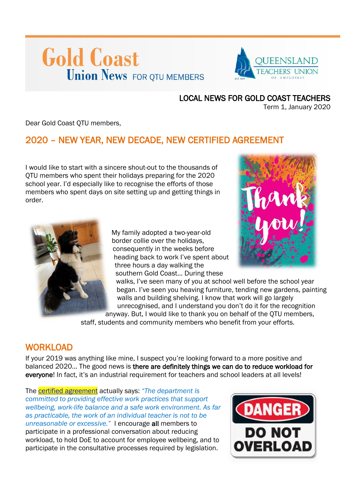# **Gold Coast Union News FOR QTU MEMBERS**



#### LOCAL NEWS FOR GOLD COAST TEACHERS

Term 1, January 2020

Dear Gold Coast QTU members,

# 2020 – NEW YEAR, NEW DECADE, NEW CERTIFIED AGREEMENT

I would like to start with a sincere shout-out to the thousands of QTU members who spent their holidays preparing for the 2020 school year. I'd especially like to recognise the efforts of those members who spent days on site setting up and getting things in order.



My family adopted a two-year-old border collie over the holidays, consequently in the weeks before heading back to work I've spent about three hours a day walking the southern Gold Coast... During these



walks, I've seen many of you at school well before the school year began. I've seen you heaving furniture, tending new gardens, painting walls and building shelving. I know that work will go largely unrecognised, and I understand you don't do it for the recognition

anyway. But, I would like to thank you on behalf of the QTU members, staff, students and community members who benefit from your efforts.

### **WORKLOAD**

If your 2019 was anything like mine, I suspect you're looking forward to a more positive and balanced 2020… The good news is there are definitely things we can do to reduce workload for everyone! In fact, it's an industrial requirement for teachers and school leaders at all levels!

The [certified agreement](https://www.qirc.qld.gov.au/sites/default/files/2019_cb101.pdf?v=1574397508) actually says: *"The department is committed to providing effective work practices that support wellbeing, work-life balance and a safe work environment. As far as practicable, the work of an individual teacher is not to be unreasonable or excessive."* I encourage all members to participate in a professional conversation about reducing workload, to hold DoE to account for employee wellbeing, and to participate in the consultative processes required by legislation.

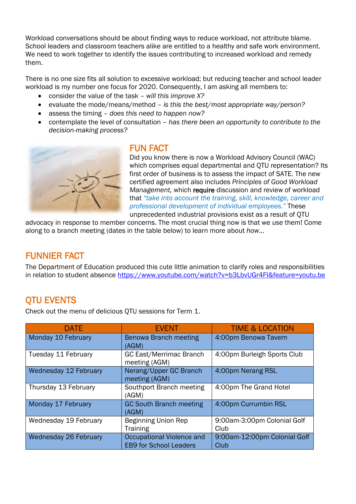Workload conversations should be about finding ways to reduce workload, not attribute blame. School leaders and classroom teachers alike are entitled to a healthy and safe work environment. We need to work together to identify the issues contributing to increased workload and remedy them.

There is no one size fits all solution to excessive workload; but reducing teacher and school leader workload is my number one focus for 2020. Consequently, I am asking all members to:

- consider the value of the task *will this improve X?*
- evaluate the mode/means/method *is this the best/most appropriate way/person?*
- assess the timing *does this need to happen now?*
- contemplate the level of consultation *has there been an opportunity to contribute to the decision-making process?*



### FUN FACT

Did you know there is now a Workload Advisory Council (WAC) which comprises equal departmental and QTU representation? Its first order of business is to assess the impact of SATE. The new certified agreement also includes *Principles of Good Workload Management,* which require discussion and review of workload that *"take into account the training, skill, knowledge, career and professional development of individual employees."* These unprecedented industrial provisions exist as a result of QTU

advocacy in response to member concerns. The most crucial thing now is that we *use* them! Come along to a branch meeting (dates in the table below) to learn more about *how*…

## FUNNIER FACT

The Department of Education produced this cute little animation to clarify roles and responsibilities in relation to student absence<https://www.youtube.com/watch?v=b3LbvUGr4FI&feature=youtu.be>

# QTU EVENTS

Check out the menu of delicious QTU sessions for Term 1.

| <b>DATE</b>           | <b>EVENT</b>                                               | <b>TIME &amp; LOCATION</b>           |
|-----------------------|------------------------------------------------------------|--------------------------------------|
| Monday 10 February    | Benowa Branch meeting<br>(AGM)                             | 4:00pm Benowa Tavern                 |
| Tuesday 11 February   | <b>GC East/Merrimac Branch</b><br>meeting (AGM)            | 4:00pm Burleigh Sports Club          |
| Wednesday 12 February | Nerang/Upper GC Branch<br>meeting (AGM)                    | 4:00pm Nerang RSL                    |
| Thursday 13 February  | Southport Branch meeting<br>(AGM)                          | 4:00pm The Grand Hotel               |
| Monday 17 February    | <b>GC South Branch meeting</b><br>(AGM)                    | 4:00pm Currumbin RSL                 |
| Wednesday 19 February | <b>Beginning Union Rep</b><br><b>Training</b>              | 9:00am-3:00pm Colonial Golf<br>Club  |
| Wednesday 26 February | Occupational Violence and<br><b>EB9 for School Leaders</b> | 9:00am-12:00pm Colonial Golf<br>Club |